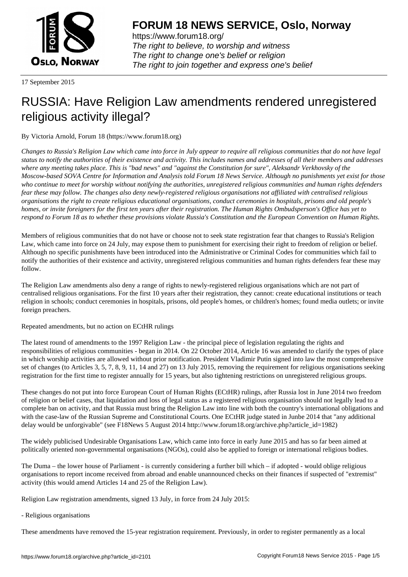

https://www.forum18.org/ The right to believe, to worship and witness The right to change one's belief or religion [The right to join together a](https://www.forum18.org/)nd express one's belief

17 September 2015

# [RUSSIA: Have](https://www.forum18.org) Religion Law amendments rendered unregistered religious activity illegal?

By Victoria Arnold, Forum 18 (https://www.forum18.org)

*Changes to Russia's Religion Law which came into force in July appear to require all religious communities that do not have legal status to notify the authorities of their existence and activity. This includes names and addresses of all their members and addresses where any meeting takes place. This is "bad news" and "against the Constitution for sure", Aleksandr Verkhovsky of the Moscow-based SOVA Centre for Information and Analysis told Forum 18 News Service. Although no punishments yet exist for those who continue to meet for worship without notifying the authorities, unregistered religious communities and human rights defenders fear these may follow. The changes also deny newly-registered religious organisations not affiliated with centralised religious organisations the right to create religious educational organisations, conduct ceremonies in hospitals, prisons and old people's homes, or invite foreigners for the first ten years after their registration. The Human Rights Ombudsperson's Office has yet to respond to Forum 18 as to whether these provisions violate Russia's Constitution and the European Convention on Human Rights.*

Members of religious communities that do not have or choose not to seek state registration fear that changes to Russia's Religion Law, which came into force on 24 July, may expose them to punishment for exercising their right to freedom of religion or belief. Although no specific punishments have been introduced into the Administrative or Criminal Codes for communities which fail to notify the authorities of their existence and activity, unregistered religious communities and human rights defenders fear these may follow.

The Religion Law amendments also deny a range of rights to newly-registered religious organisations which are not part of centralised religious organisations. For the first 10 years after their registration, they cannot: create educational institutions or teach religion in schools; conduct ceremonies in hospitals, prisons, old people's homes, or children's homes; found media outlets; or invite foreign preachers.

Repeated amendments, but no action on ECtHR rulings

The latest round of amendments to the 1997 Religion Law - the principal piece of legislation regulating the rights and responsibilities of religious communities - began in 2014. On 22 October 2014, Article 16 was amended to clarify the types of place in which worship activities are allowed without prior notification. President Vladimir Putin signed into law the most comprehensive set of changes (to Articles 3, 5, 7, 8, 9, 11, 14 and 27) on 13 July 2015, removing the requirement for religious organisations seeking registration for the first time to register annually for 15 years, but also tightening restrictions on unregistered religious groups.

These changes do not put into force European Court of Human Rights (ECtHR) rulings, after Russia lost in June 2014 two freedom of religion or belief cases, that liquidation and loss of legal status as a registered religious organisation should not legally lead to a complete ban on activity, and that Russia must bring the Religion Law into line with both the country's international obligations and with the case-law of the Russian Supreme and Constitutional Courts. One ECtHR judge stated in Junbe 2014 that "any additional delay would be unforgivable" (see F18News 5 August 2014 http://www.forum18.org/archive.php?article\_id=1982)

The widely publicised Undesirable Organisations Law, which came into force in early June 2015 and has so far been aimed at politically oriented non-governmental organisations (NGOs), could also be applied to foreign or international religious bodies.

The Duma – the lower house of Parliament - is currently considering a further bill which – if adopted - would oblige religious organisations to report income received from abroad and enable unannounced checks on their finances if suspected of "extremist" activity (this would amend Articles 14 and 25 of the Religion Law).

Religion Law registration amendments, signed 13 July, in force from 24 July 2015:

- Religious organisations

These amendments have removed the 15-year registration requirement. Previously, in order to register permanently as a local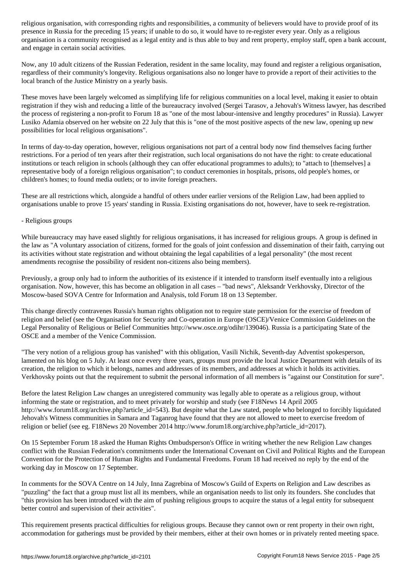presence in Russia for the preceding 15 years; if unable to do so, it would have to re-register every year. Only as a religious organisation is a community recognised as a legal entity and is thus able to buy and rent property, employ staff, open a bank account, and engage in certain social activities.

Now, any 10 adult citizens of the Russian Federation, resident in the same locality, may found and register a religious organisation, regardless of their community's longevity. Religious organisations also no longer have to provide a report of their activities to the local branch of the Justice Ministry on a yearly basis.

These moves have been largely welcomed as simplifying life for religious communities on a local level, making it easier to obtain registration if they wish and reducing a little of the bureaucracy involved (Sergei Tarasov, a Jehovah's Witness lawyer, has described the process of registering a non-profit to Forum 18 as "one of the most labour-intensive and lengthy procedures" in Russia). Lawyer Lusiko Adamia observed on her website on 22 July that this is "one of the most positive aspects of the new law, opening up new possibilities for local religious organisations".

In terms of day-to-day operation, however, religious organisations not part of a central body now find themselves facing further restrictions. For a period of ten years after their registration, such local organisations do not have the right: to create educational institutions or teach religion in schools (although they can offer educational programmes to adults); to "attach to [themselves] a representative body of a foreign religious organisation"; to conduct ceremonies in hospitals, prisons, old people's homes, or children's homes; to found media outlets; or to invite foreign preachers.

These are all restrictions which, alongside a handful of others under earlier versions of the Religion Law, had been applied to organisations unable to prove 15 years' standing in Russia. Existing organisations do not, however, have to seek re-registration.

#### - Religious groups

While bureaucracy may have eased slightly for religious organisations, it has increased for religious groups. A group is defined in the law as "A voluntary association of citizens, formed for the goals of joint confession and dissemination of their faith, carrying out its activities without state registration and without obtaining the legal capabilities of a legal personality" (the most recent amendments recognise the possibility of resident non-citizens also being members).

Previously, a group only had to inform the authorities of its existence if it intended to transform itself eventually into a religious organisation. Now, however, this has become an obligation in all cases – "bad news", Aleksandr Verkhovsky, Director of the Moscow-based SOVA Centre for Information and Analysis, told Forum 18 on 13 September.

This change directly contravenes Russia's human rights obligation not to require state permission for the exercise of freedom of religion and belief (see the Organisation for Security and Co-operation in Europe (OSCE)/Venice Commission Guidelines on the Legal Personality of Religious or Belief Communities http://www.osce.org/odihr/139046). Russia is a participating State of the OSCE and a member of the Venice Commission.

"The very notion of a religious group has vanished" with this obligation, Vasili Nichik, Seventh-day Adventist spokesperson, lamented on his blog on 5 July. At least once every three years, groups must provide the local Justice Department with details of its creation, the religion to which it belongs, names and addresses of its members, and addresses at which it holds its activities. Verkhovsky points out that the requirement to submit the personal information of all members is "against our Constitution for sure".

Before the latest Religion Law changes an unregistered community was legally able to operate as a religious group, without informing the state or registration, and to meet privately for worship and study (see F18News 14 April 2005 http://www.forum18.org/archive.php?article\_id=543). But despite what the Law stated, people who belonged to forcibly liquidated Jehovah's Witness communities in Samara and Taganrog have found that they are not allowed to meet to exercise freedom of religion or belief (see eg. F18News 20 November 2014 http://www.forum18.org/archive.php?article\_id=2017).

On 15 September Forum 18 asked the Human Rights Ombudsperson's Office in writing whether the new Religion Law changes conflict with the Russian Federation's commitments under the International Covenant on Civil and Political Rights and the European Convention for the Protection of Human Rights and Fundamental Freedoms. Forum 18 had received no reply by the end of the working day in Moscow on 17 September.

In comments for the SOVA Centre on 14 July, Inna Zagrebina of Moscow's Guild of Experts on Religion and Law describes as "puzzling" the fact that a group must list all its members, while an organisation needs to list only its founders. She concludes that "this provision has been introduced with the aim of pushing religious groups to acquire the status of a legal entity for subsequent better control and supervision of their activities".

This requirement presents practical difficulties for religious groups. Because they cannot own or rent property in their own right, accommodation for gatherings must be provided by their members, either at their own homes or in privately rented meeting space.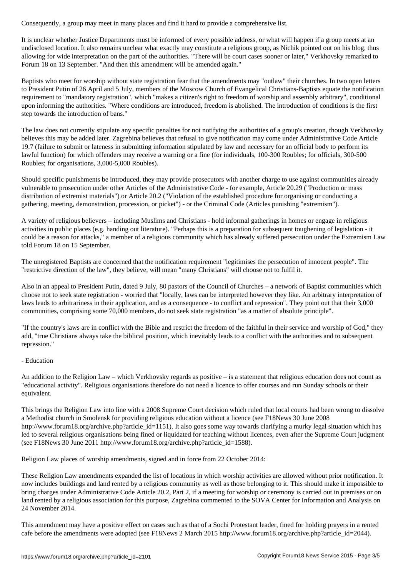It is unclear whether Justice Departments must be informed of every possible address, or what will happen if a group meets at an undisclosed location. It also remains unclear what exactly may constitute a religious group, as Nichik pointed out on his blog, thus allowing for wide interpretation on the part of the authorities. "There will be court cases sooner or later," Verkhovsky remarked to Forum 18 on 13 September. "And then this amendment will be amended again."

Baptists who meet for worship without state registration fear that the amendments may "outlaw" their churches. In two open letters to President Putin of 26 April and 5 July, members of the Moscow Church of Evangelical Christians-Baptists equate the notification requirement to "mandatory registration", which "makes a citizen's right to freedom of worship and assembly arbitrary", conditional upon informing the authorities. "Where conditions are introduced, freedom is abolished. The introduction of conditions is the first step towards the introduction of bans."

The law does not currently stipulate any specific penalties for not notifying the authorities of a group's creation, though Verkhovsky believes this may be added later. Zagrebina believes that refusal to give notification may come under Administrative Code Article 19.7 (failure to submit or lateness in submitting information stipulated by law and necessary for an official body to perform its lawful function) for which offenders may receive a warning or a fine (for individuals, 100-300 Roubles; for officials, 300-500 Roubles; for organisations, 3,000-5,000 Roubles).

Should specific punishments be introduced, they may provide prosecutors with another charge to use against communities already vulnerable to prosecution under other Articles of the Administrative Code - for example, Article 20.29 ("Production or mass distribution of extremist materials") or Article 20.2 ("Violation of the established procedure for organising or conducting a gathering, meeting, demonstration, procession, or picket") - or the Criminal Code (Articles punishing "extremism").

A variety of religious believers – including Muslims and Christians - hold informal gatherings in homes or engage in religious activities in public places (e.g. handing out literature). "Perhaps this is a preparation for subsequent toughening of legislation - it could be a reason for attacks," a member of a religious community which has already suffered persecution under the Extremism Law told Forum 18 on 15 September.

The unregistered Baptists are concerned that the notification requirement "legitimises the persecution of innocent people". The "restrictive direction of the law", they believe, will mean "many Christians" will choose not to fulfil it.

Also in an appeal to President Putin, dated 9 July, 80 pastors of the Council of Churches – a network of Baptist communities which choose not to seek state registration - worried that "locally, laws can be interpreted however they like. An arbitrary interpretation of laws leads to arbitrariness in their application, and as a consequence - to conflict and repression". They point out that their 3,000 communities, comprising some 70,000 members, do not seek state registration "as a matter of absolute principle".

"If the country's laws are in conflict with the Bible and restrict the freedom of the faithful in their service and worship of God," they add, "true Christians always take the biblical position, which inevitably leads to a conflict with the authorities and to subsequent repression."

### - Education

An addition to the Religion Law – which Verkhovsky regards as positive – is a statement that religious education does not count as "educational activity". Religious organisations therefore do not need a licence to offer courses and run Sunday schools or their equivalent.

This brings the Religion Law into line with a 2008 Supreme Court decision which ruled that local courts had been wrong to dissolve a Methodist church in Smolensk for providing religious education without a licence (see F18News 30 June 2008 http://www.forum18.org/archive.php?article\_id=1151). It also goes some way towards clarifying a murky legal situation which has led to several religious organisations being fined or liquidated for teaching without licences, even after the Supreme Court judgment (see F18News 30 June 2011 http://www.forum18.org/archive.php?article\_id=1588).

Religion Law places of worship amendments, signed and in force from 22 October 2014:

These Religion Law amendments expanded the list of locations in which worship activities are allowed without prior notification. It now includes buildings and land rented by a religious community as well as those belonging to it. This should make it impossible to bring charges under Administrative Code Article 20.2, Part 2, if a meeting for worship or ceremony is carried out in premises or on land rented by a religious association for this purpose, Zagrebina commented to the SOVA Center for Information and Analysis on 24 November 2014.

This amendment may have a positive effect on cases such as that of a Sochi Protestant leader, fined for holding prayers in a rented cafe before the amendments were adopted (see F18News 2 March 2015 http://www.forum18.org/archive.php?article\_id=2044).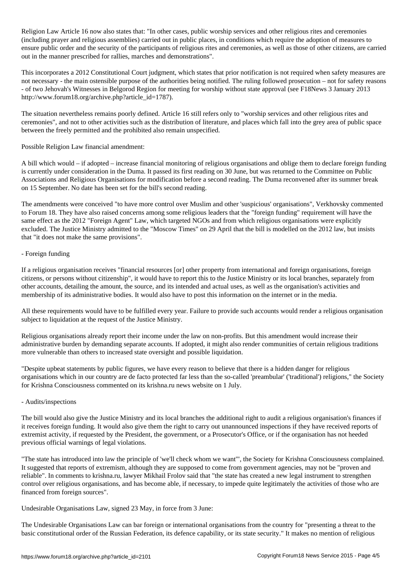Religion Law Article 16 now also states that: "In other cases, public worship services and other religious rites and ceremonies (including prayer and religious assemblies) carried out in public places, in conditions which require the adoption of measures to ensure public order and the security of the participants of religious rites and ceremonies, as well as those of other citizens, are carried out in the manner prescribed for rallies, marches and demonstrations".

This incorporates a 2012 Constitutional Court judgment, which states that prior notification is not required when safety measures are not necessary - the main ostensible purpose of the authorities being notified. The ruling followed prosecution – not for safety reasons - of two Jehovah's Witnesses in Belgorod Region for meeting for worship without state approval (see F18News 3 January 2013 http://www.forum18.org/archive.php?article\_id=1787).

The situation nevertheless remains poorly defined. Article 16 still refers only to "worship services and other religious rites and ceremonies", and not to other activities such as the distribution of literature, and places which fall into the grey area of public space between the freely permitted and the prohibited also remain unspecified.

Possible Religion Law financial amendment:

A bill which would – if adopted – increase financial monitoring of religious organisations and oblige them to declare foreign funding is currently under consideration in the Duma. It passed its first reading on 30 June, but was returned to the Committee on Public Associations and Religious Organisations for modification before a second reading. The Duma reconvened after its summer break on 15 September. No date has been set for the bill's second reading.

The amendments were conceived "to have more control over Muslim and other 'suspicious' organisations", Verkhovsky commented to Forum 18. They have also raised concerns among some religious leaders that the "foreign funding" requirement will have the same effect as the 2012 "Foreign Agent" Law, which targeted NGOs and from which religious organisations were explicitly excluded. The Justice Ministry admitted to the "Moscow Times" on 29 April that the bill is modelled on the 2012 law, but insists that "it does not make the same provisions".

## - Foreign funding

If a religious organisation receives "financial resources [or] other property from international and foreign organisations, foreign citizens, or persons without citizenship", it would have to report this to the Justice Ministry or its local branches, separately from other accounts, detailing the amount, the source, and its intended and actual uses, as well as the organisation's activities and membership of its administrative bodies. It would also have to post this information on the internet or in the media.

All these requirements would have to be fulfilled every year. Failure to provide such accounts would render a religious organisation subject to liquidation at the request of the Justice Ministry.

Religious organisations already report their income under the law on non-profits. But this amendment would increase their administrative burden by demanding separate accounts. If adopted, it might also render communities of certain religious traditions more vulnerable than others to increased state oversight and possible liquidation.

"Despite upbeat statements by public figures, we have every reason to believe that there is a hidden danger for religious organisations which in our country are de facto protected far less than the so-called 'preambular' ('traditional') religions," the Society for Krishna Consciousness commented on its krishna.ru news website on 1 July.

### - Audits/inspections

The bill would also give the Justice Ministry and its local branches the additional right to audit a religious organisation's finances if it receives foreign funding. It would also give them the right to carry out unannounced inspections if they have received reports of extremist activity, if requested by the President, the government, or a Prosecutor's Office, or if the organisation has not heeded previous official warnings of legal violations.

"The state has introduced into law the principle of 'we'll check whom we want'", the Society for Krishna Consciousness complained. It suggested that reports of extremism, although they are supposed to come from government agencies, may not be "proven and reliable". In comments to krishna.ru, lawyer Mikhail Frolov said that "the state has created a new legal instrument to strengthen control over religious organisations, and has become able, if necessary, to impede quite legitimately the activities of those who are financed from foreign sources".

Undesirable Organisations Law, signed 23 May, in force from 3 June:

The Undesirable Organisations Law can bar foreign or international organisations from the country for "presenting a threat to the basic constitutional order of the Russian Federation, its defence capability, or its state security." It makes no mention of religious